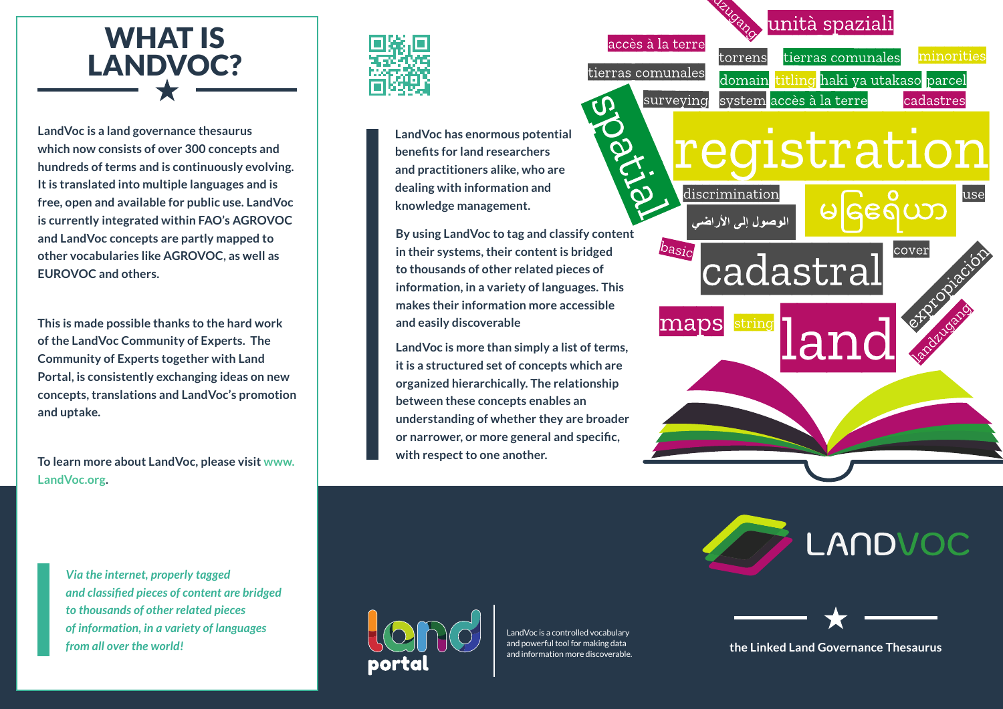## WHAT IS LANDVOC?

**LandVoc is a land governance thesaurus which now consists of over 300 concepts and hundreds of terms and is continuously evolving. It is translated into multiple languages and is free, open and available for public use. LandVoc is currently integrated within FAO's AGROVOC and LandVoc concepts are partly mapped to other vocabularies like AGROVOC, as well as EUROVOC and others.** 

**This is made possible thanks to the hard work of the LandVoc Community of Experts. The Community of Experts together with Land Portal, is consistently exchanging ideas on new concepts, translations and LandVoc's promotion and uptake.**

**To learn more about LandVoc, please visit [www.](http://www.LandVoc.org) [LandVoc.org.](http://www.LandVoc.org)** 

*Via the internet, properly tagged* 

*from all over the world!* 

*to thousands of other related pieces of information, in a variety of languages* 

*and classified pieces of content are bridged* 



**LandVoc has enormous potential benefits for land researchers and practitioners alike, who are dealing with information and knowledge management.** 

**By using LandVoc to tag and classify content in their systems, their content is bridged to thousands of other related pieces of information, in a variety of languages. This makes their information more accessible and easily discoverable**

လ

**LandVoc is more than simply a list of terms, it is a structured set of concepts which are organized hierarchically. The relationship between these concepts enables an understanding of whether they are broader or narrower, or more general and specific, with respect to one another.** 

LandVoc is a controlled vocabulary and powerful tool for making data and information more discoverable.

accès à la terre minorities torrens tierras comunales tierras comunales titling haki ya utakaso parcel domain system accès à la terre surveving cadastres registration discrimination use  $\overline{\text{CD}}$ الموصول إلى الأراضى basic cover cadastral string maps a1

unità spaziali

LANDVOC



**the Linked Land Governance Thesaurus**